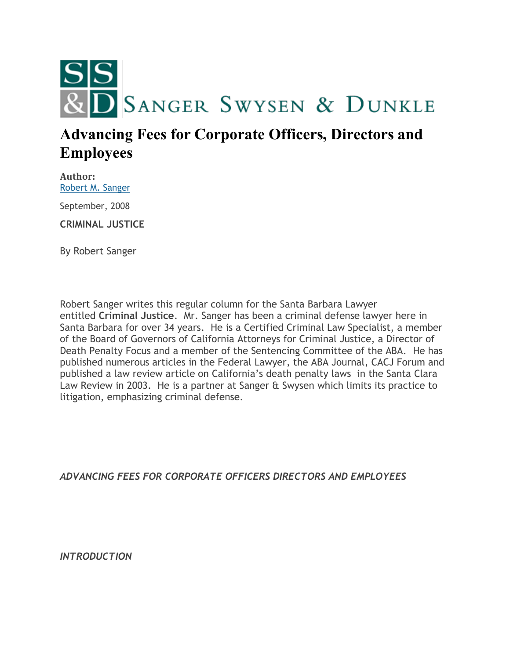

# **Advancing Fees for Corporate Officers, Directors and Employees**

**Author:** [Robert M. Sanger](http://sangerswysen.com/robert-m-sanger)

September, 2008

**CRIMINAL JUSTICE**

By Robert Sanger

Robert Sanger writes this regular column for the Santa Barbara Lawyer entitled **Criminal Justice**. Mr. Sanger has been a criminal defense lawyer here in Santa Barbara for over 34 years. He is a Certified Criminal Law Specialist, a member of the Board of Governors of California Attorneys for Criminal Justice, a Director of Death Penalty Focus and a member of the Sentencing Committee of the ABA. He has published numerous articles in the Federal Lawyer, the ABA Journal, CACJ Forum and published a law review article on California's death penalty laws in the Santa Clara Law Review in 2003. He is a partner at Sanger & Swysen which limits its practice to litigation, emphasizing criminal defense.

*ADVANCING FEES FOR CORPORATE OFFICERS DIRECTORS AND EMPLOYEES*

*INTRODUCTION*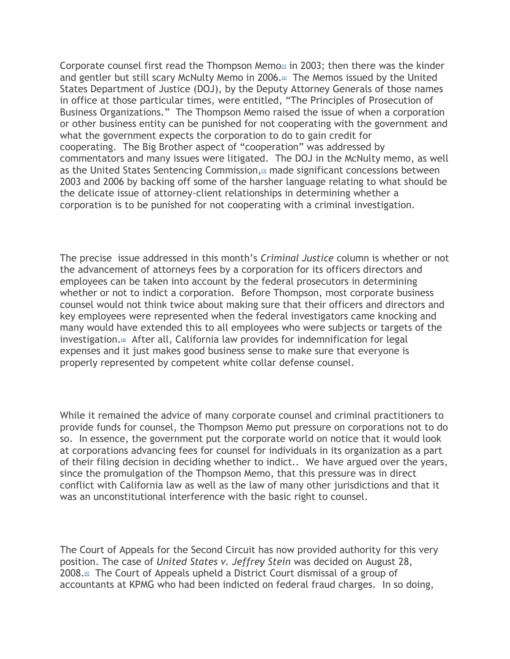Corporate counsel first read the Thompson Memo $\omega$  in 2003; then there was the kinder and gentler but still scary McNulty Memo in 2006. $\mu$  The Memos issued by the United States Department of Justice (DOJ), by the Deputy Attorney Generals of those names in office at those particular times, were entitled, "The Principles of Prosecution of Business Organizations." The Thompson Memo raised the issue of when a corporation or other business entity can be punished for not cooperating with the government and what the government expects the corporation to do to gain credit for cooperating. The Big Brother aspect of "cooperation" was addressed by commentators and many issues were litigated. The DOJ in the McNulty memo, as well as the United States Sentencing Commission,<sup>[\[3\]](#page-8-2)</sup> made significant concessions between 2003 and 2006 by backing off some of the harsher language relating to what should be the delicate issue of attorney-client relationships in determining whether a corporation is to be punished for not cooperating with a criminal investigation.

The precise issue addressed in this month's *Criminal Justice* column is whether or not the advancement of attorneys fees by a corporation for its officers directors and employees can be taken into account by the federal prosecutors in determining whether or not to indict a corporation. Before Thompson, most corporate business counsel would not think twice about making sure that their officers and directors and key employees were represented when the federal investigators came knocking and many would have extended this to all employees who were subjects or targets of the investigation[.](#page-8-3)<sup>[4]</sup> After all, California law provides for indemnification for legal expenses and it just makes good business sense to make sure that everyone is properly represented by competent white collar defense counsel.

While it remained the advice of many corporate counsel and criminal practitioners to provide funds for counsel, the Thompson Memo put pressure on corporations not to do so. In essence, the government put the corporate world on notice that it would look at corporations advancing fees for counsel for individuals in its organization as a part of their filing decision in deciding whether to indict.. We have argued over the years, since the promulgation of the Thompson Memo, that this pressure was in direct conflict with California law as well as the law of many other jurisdictions and that it was an unconstitutional interference with the basic right to counsel.

The Court of Appeals for the Second Circuit has now provided authority for this very position. The case of *United States v. Jeffrey Stein* was decided on August 28, 2008[.](#page-8-4)<sup>[5]</sup> The Court of Appeals upheld a District Court dismissal of a group of accountants at KPMG who had been indicted on federal fraud charges. In so doing,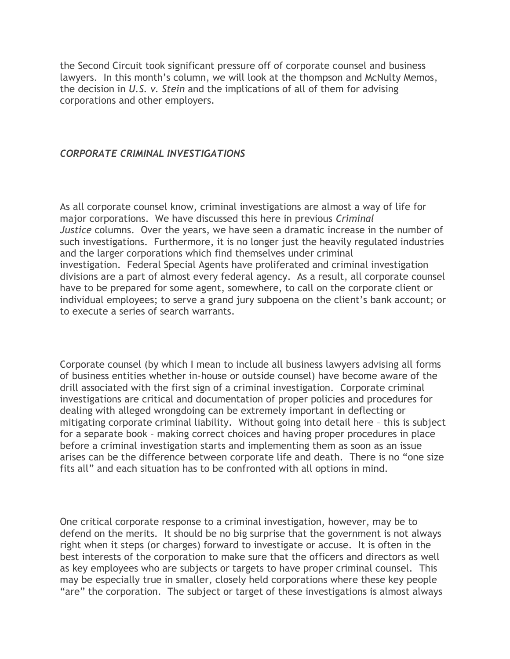the Second Circuit took significant pressure off of corporate counsel and business lawyers. In this month's column, we will look at the thompson and McNulty Memos, the decision in *U.S. v. Stein* and the implications of all of them for advising corporations and other employers.

#### *CORPORATE CRIMINAL INVESTIGATIONS*

As all corporate counsel know, criminal investigations are almost a way of life for major corporations. We have discussed this here in previous *Criminal Justice* columns. Over the years, we have seen a dramatic increase in the number of such investigations. Furthermore, it is no longer just the heavily regulated industries and the larger corporations which find themselves under criminal investigation. Federal Special Agents have proliferated and criminal investigation divisions are a part of almost every federal agency. As a result, all corporate counsel have to be prepared for some agent, somewhere, to call on the corporate client or individual employees; to serve a grand jury subpoena on the client's bank account; or to execute a series of search warrants.

Corporate counsel (by which I mean to include all business lawyers advising all forms of business entities whether in-house or outside counsel) have become aware of the drill associated with the first sign of a criminal investigation. Corporate criminal investigations are critical and documentation of proper policies and procedures for dealing with alleged wrongdoing can be extremely important in deflecting or mitigating corporate criminal liability. Without going into detail here – this is subject for a separate book – making correct choices and having proper procedures in place before a criminal investigation starts and implementing them as soon as an issue arises can be the difference between corporate life and death. There is no "one size fits all" and each situation has to be confronted with all options in mind.

One critical corporate response to a criminal investigation, however, may be to defend on the merits. It should be no big surprise that the government is not always right when it steps (or charges) forward to investigate or accuse. It is often in the best interests of the corporation to make sure that the officers and directors as well as key employees who are subjects or targets to have proper criminal counsel. This may be especially true in smaller, closely held corporations where these key people "are" the corporation. The subject or target of these investigations is almost always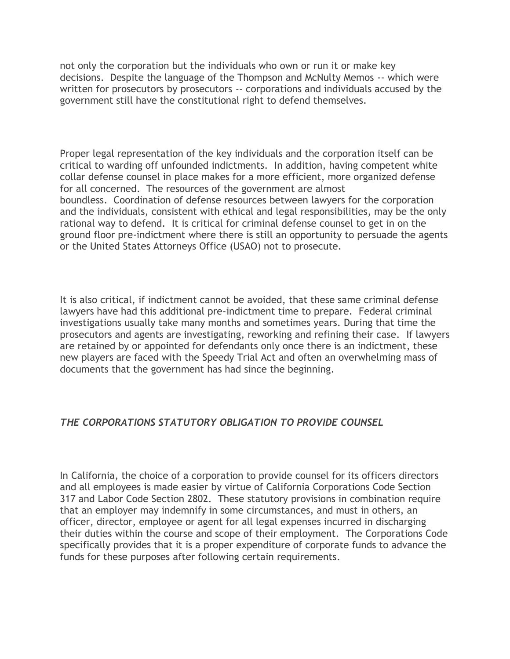not only the corporation but the individuals who own or run it or make key decisions. Despite the language of the Thompson and McNulty Memos -- which were written for prosecutors by prosecutors -- corporations and individuals accused by the government still have the constitutional right to defend themselves.

Proper legal representation of the key individuals and the corporation itself can be critical to warding off unfounded indictments. In addition, having competent white collar defense counsel in place makes for a more efficient, more organized defense for all concerned. The resources of the government are almost boundless. Coordination of defense resources between lawyers for the corporation and the individuals, consistent with ethical and legal responsibilities, may be the only rational way to defend. It is critical for criminal defense counsel to get in on the ground floor pre-indictment where there is still an opportunity to persuade the agents or the United States Attorneys Office (USAO) not to prosecute.

It is also critical, if indictment cannot be avoided, that these same criminal defense lawyers have had this additional pre-indictment time to prepare. Federal criminal investigations usually take many months and sometimes years. During that time the prosecutors and agents are investigating, reworking and refining their case. If lawyers are retained by or appointed for defendants only once there is an indictment, these new players are faced with the Speedy Trial Act and often an overwhelming mass of documents that the government has had since the beginning.

## *THE CORPORATIONS STATUTORY OBLIGATION TO PROVIDE COUNSEL*

In California, the choice of a corporation to provide counsel for its officers directors and all employees is made easier by virtue of California Corporations Code Section 317 and Labor Code Section 2802. These statutory provisions in combination require that an employer may indemnify in some circumstances, and must in others, an officer, director, employee or agent for all legal expenses incurred in discharging their duties within the course and scope of their employment. The Corporations Code specifically provides that it is a proper expenditure of corporate funds to advance the funds for these purposes after following certain requirements.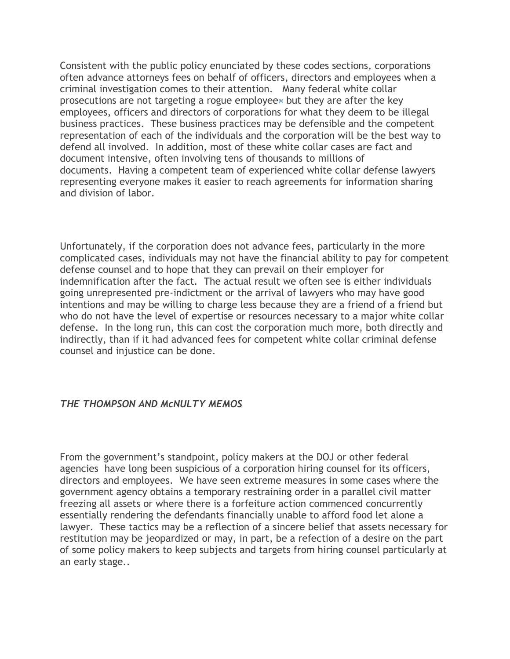Consistent with the public policy enunciated by these codes sections, corporations often advance attorneys fees on behalf of officers, directors and employees when a criminal investigation comes to their attention. Many federal white collar pros[e](#page-8-5)cutions are not targeting a rogue employee $\omega$  but they are after the key employees, officers and directors of corporations for what they deem to be illegal business practices. These business practices may be defensible and the competent representation of each of the individuals and the corporation will be the best way to defend all involved. In addition, most of these white collar cases are fact and document intensive, often involving tens of thousands to millions of documents. Having a competent team of experienced white collar defense lawyers representing everyone makes it easier to reach agreements for information sharing and division of labor.

Unfortunately, if the corporation does not advance fees, particularly in the more complicated cases, individuals may not have the financial ability to pay for competent defense counsel and to hope that they can prevail on their employer for indemnification after the fact. The actual result we often see is either individuals going unrepresented pre-indictment or the arrival of lawyers who may have good intentions and may be willing to charge less because they are a friend of a friend but who do not have the level of expertise or resources necessary to a major white collar defense. In the long run, this can cost the corporation much more, both directly and indirectly, than if it had advanced fees for competent white collar criminal defense counsel and injustice can be done.

### *THE THOMPSON AND McNULTY MEMOS*

From the government's standpoint, policy makers at the DOJ or other federal agencies have long been suspicious of a corporation hiring counsel for its officers, directors and employees. We have seen extreme measures in some cases where the government agency obtains a temporary restraining order in a parallel civil matter freezing all assets or where there is a forfeiture action commenced concurrently essentially rendering the defendants financially unable to afford food let alone a lawyer. These tactics may be a reflection of a sincere belief that assets necessary for restitution may be jeopardized or may, in part, be a refection of a desire on the part of some policy makers to keep subjects and targets from hiring counsel particularly at an early stage..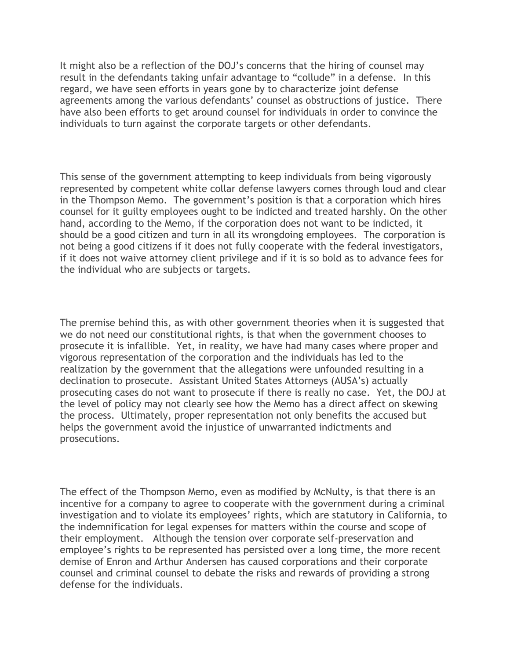It might also be a reflection of the DOJ's concerns that the hiring of counsel may result in the defendants taking unfair advantage to "collude" in a defense. In this regard, we have seen efforts in years gone by to characterize joint defense agreements among the various defendants' counsel as obstructions of justice. There have also been efforts to get around counsel for individuals in order to convince the individuals to turn against the corporate targets or other defendants.

This sense of the government attempting to keep individuals from being vigorously represented by competent white collar defense lawyers comes through loud and clear in the Thompson Memo. The government's position is that a corporation which hires counsel for it guilty employees ought to be indicted and treated harshly. On the other hand, according to the Memo, if the corporation does not want to be indicted, it should be a good citizen and turn in all its wrongdoing employees. The corporation is not being a good citizens if it does not fully cooperate with the federal investigators, if it does not waive attorney client privilege and if it is so bold as to advance fees for the individual who are subjects or targets.

The premise behind this, as with other government theories when it is suggested that we do not need our constitutional rights, is that when the government chooses to prosecute it is infallible. Yet, in reality, we have had many cases where proper and vigorous representation of the corporation and the individuals has led to the realization by the government that the allegations were unfounded resulting in a declination to prosecute. Assistant United States Attorneys (AUSA's) actually prosecuting cases do not want to prosecute if there is really no case. Yet, the DOJ at the level of policy may not clearly see how the Memo has a direct affect on skewing the process. Ultimately, proper representation not only benefits the accused but helps the government avoid the injustice of unwarranted indictments and prosecutions.

The effect of the Thompson Memo, even as modified by McNulty, is that there is an incentive for a company to agree to cooperate with the government during a criminal investigation and to violate its employees' rights, which are statutory in California, to the indemnification for legal expenses for matters within the course and scope of their employment. Although the tension over corporate self-preservation and employee's rights to be represented has persisted over a long time, the more recent demise of Enron and Arthur Andersen has caused corporations and their corporate counsel and criminal counsel to debate the risks and rewards of providing a strong defense for the individuals.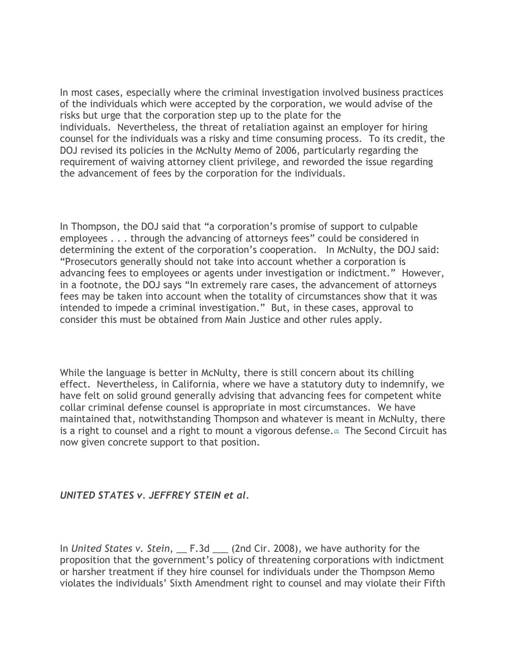In most cases, especially where the criminal investigation involved business practices of the individuals which were accepted by the corporation, we would advise of the risks but urge that the corporation step up to the plate for the individuals. Nevertheless, the threat of retaliation against an employer for hiring counsel for the individuals was a risky and time consuming process. To its credit, the DOJ revised its policies in the McNulty Memo of 2006, particularly regarding the requirement of waiving attorney client privilege, and reworded the issue regarding the advancement of fees by the corporation for the individuals.

In Thompson, the DOJ said that "a corporation's promise of support to culpable employees . . . through the advancing of attorneys fees" could be considered in determining the extent of the corporation's cooperation. In McNulty, the DOJ said: "Prosecutors generally should not take into account whether a corporation is advancing fees to employees or agents under investigation or indictment." However, in a footnote, the DOJ says "In extremely rare cases, the advancement of attorneys fees may be taken into account when the totality of circumstances show that it was intended to impede a criminal investigation." But, in these cases, approval to consider this must be obtained from Main Justice and other rules apply.

While the language is better in McNulty, there is still concern about its chilling effect. Nevertheless, in California, where we have a statutory duty to indemnify, we have felt on solid ground generally advising that advancing fees for competent white collar criminal defense counsel is appropriate in most circumstances. We have maintained that, notwithstanding Thompson and whatever is meant in McNulty, there is a right to counsel and a right to mount a vigorous defense. $\mathbbm{m}$  The Second Circuit has now given concrete support to that position.

#### *UNITED STATES v. JEFFREY STEIN et al.*

In *United States v. Stein*, \_\_ F.3d \_\_\_ (2nd Cir. 2008), we have authority for the proposition that the government's policy of threatening corporations with indictment or harsher treatment if they hire counsel for individuals under the Thompson Memo violates the individuals' Sixth Amendment right to counsel and may violate their Fifth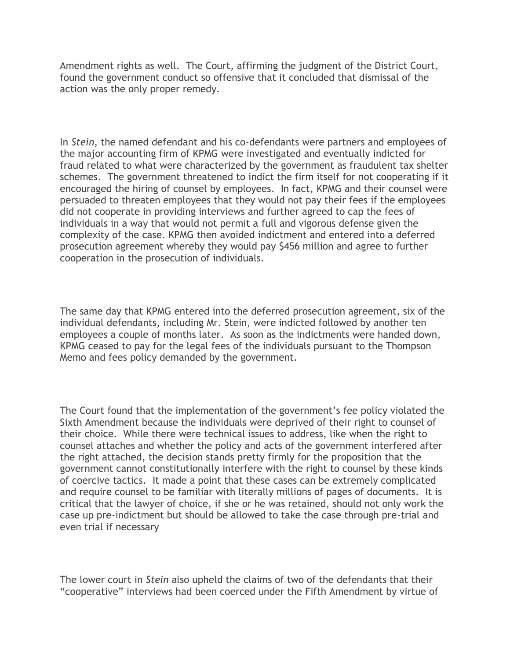Amendment rights as well. The Court, affirming the judgment of the District Court, found the government conduct so offensive that it concluded that dismissal of the action was the only proper remedy.

In *Stein*, the named defendant and his co-defendants were partners and employees of the major accounting firm of KPMG were investigated and eventually indicted for fraud related to what were characterized by the government as fraudulent tax shelter schemes. The government threatened to indict the firm itself for not cooperating if it encouraged the hiring of counsel by employees. In fact, KPMG and their counsel were persuaded to threaten employees that they would not pay their fees if the employees did not cooperate in providing interviews and further agreed to cap the fees of individuals in a way that would not permit a full and vigorous defense given the complexity of the case. KPMG then avoided indictment and entered into a deferred prosecution agreement whereby they would pay \$456 million and agree to further cooperation in the prosecution of individuals.

The same day that KPMG entered into the deferred prosecution agreement, six of the individual defendants, including Mr. Stein, were indicted followed by another ten employees a couple of months later. As soon as the indictments were handed down, KPMG ceased to pay for the legal fees of the individuals pursuant to the Thompson Memo and fees policy demanded by the government.

The Court found that the implementation of the government's fee policy violated the Sixth Amendment because the individuals were deprived of their right to counsel of their choice. While there were technical issues to address, like when the right to counsel attaches and whether the policy and acts of the government interfered after the right attached, the decision stands pretty firmly for the proposition that the government cannot constitutionally interfere with the right to counsel by these kinds of coercive tactics. It made a point that these cases can be extremely complicated and require counsel to be familiar with literally millions of pages of documents. It is critical that the lawyer of choice, if she or he was retained, should not only work the case up pre-indictment but should be allowed to take the case through pre-trial and even trial if necessary

The lower court in *Stein* also upheld the claims of two of the defendants that their "cooperative" interviews had been coerced under the Fifth Amendment by virtue of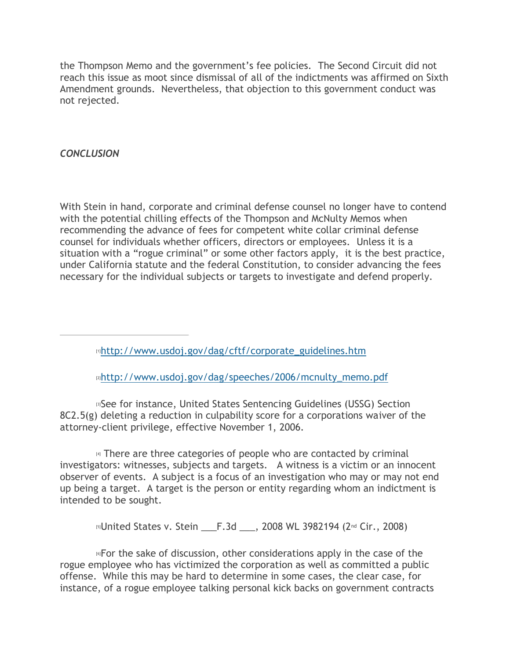the Thompson Memo and the government's fee policies. The Second Circuit did not reach this issue as moot since dismissal of all of the indictments was affirmed on Sixth Amendment grounds. Nevertheless, that objection to this government conduct was not rejected.

## *CONCLUSION*

With Stein in hand, corporate and criminal defense counsel no longer have to contend with the potential chilling effects of the Thompson and McNulty Memos when recommending the advance of fees for competent white collar criminal defense counsel for individuals whether officers, directors or employees. Unless it is a situation with a "rogue criminal" or some other factors apply, it is the best practice, under California statute and the federal Constitution, to consider advancing the fees necessary for the individual subjects or targets to investigate and defend properly.

<span id="page-8-0"></span>[1][http://www.usdoj.gov/dag/cftf/corporate\\_guidelines.htm](http://www.usdoj.gov/dag/cftf/corporate_guidelines.htm)

<span id="page-8-2"></span><span id="page-8-1"></span>[2][http://www.usdoj.gov/dag/speeches/2006/mcnulty\\_memo.pdf](http://www.usdoj.gov/dag/speeches/2006/mcnulty_memo.pdf)

**[3]See for instance, United States Sentencing Guidelines (USSG) Section** 8C2.5(g) deleting a reduction in culpability score for a corporations waiver of the attorney-client privilege, effective November 1, 2006.

<span id="page-8-3"></span>[4] There are three categories of people who are contacted by criminal investigators: witnesses, subjects and targets. A witness is a victim or an innocent observer of events. A subject is a focus of an investigation who may or may not end up being a target. A target is the person or entity regarding whom an indictment is intended to be sought.

<span id="page-8-5"></span><span id="page-8-4"></span>**IIID 1515 5 and States v. Stein Letu F.3d Letu, 2008 WL 3982194 (2nd Cir., 2008)** 

 $\epsilon$  for the sake of discussion, other considerations apply in the case of the rogue employee who has victimized the corporation as well as committed a public offense. While this may be hard to determine in some cases, the clear case, for instance, of a rogue employee talking personal kick backs on government contracts